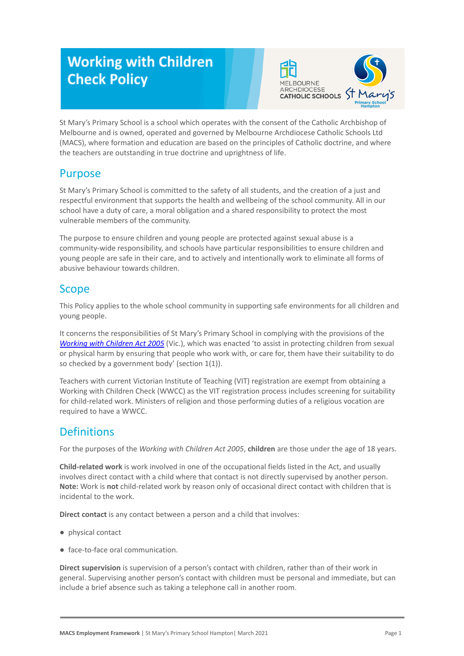# **Working with Children Check Policy**



St Mary's Primary School is a school which operates with the consent of the Catholic Archbishop of Melbourne and is owned, operated and governed by Melbourne Archdiocese Catholic Schools Ltd (MACS), where formation and education are based on the principles of Catholic doctrine, and where the teachers are outstanding in true doctrine and uprightness of life.

### Purpose

St Mary's Primary School is committed to the safety of all students, and the creation of a just and respectful environment that supports the health and wellbeing of the school community. All in our school have a duty of care, a moral obligation and a shared responsibility to protect the most vulnerable members of the community.

The purpose to ensure children and young people are protected against sexual abuse is a community-wide responsibility, and schools have particular responsibilities to ensure children and young people are safe in their care, and to actively and intentionally work to eliminate all forms of abusive behaviour towards children.

## Scope

This Policy applies to the whole school community in supporting safe environments for all children and young people.

It concerns the responsibilities of St Mary's Primary School in complying with the provisions of the *[Working with Children Act 2005](https://www.legislation.vic.gov.au/as-made/acts/working-children-act-2005)* (Vic.), which was enacted 'to assist in protecting children from sexual or physical harm by ensuring that people who work with, or care for, them have their suitability to do so checked by a government body' (section 1(1)).

Teachers with current Victorian Institute of Teaching (VIT) registration are exempt from obtaining a Working with Children Check (WWCC) as the VIT registration process includes screening for suitability for child-related work. Ministers of religion and those performing duties of a religious vocation are required to have a WWCC.

# **Definitions**

For the purposes of the *Working with Children Act 2005*, **children** are those under the age of 18 years.

**Child-related work** is work involved in one of the occupational fields listed in the Act, and usually involves direct contact with a child where that contact is not directly supervised by another person. **Note:** Work is **not** child-related work by reason only of occasional direct contact with children that is incidental to the work.

**Direct contact** is any contact between a person and a child that involves:

- physical contact
- face-to-face oral communication.

**Direct supervision** is supervision of a person's contact with children, rather than of their work in general. Supervising another person's contact with children must be personal and immediate, but can include a brief absence such as taking a telephone call in another room.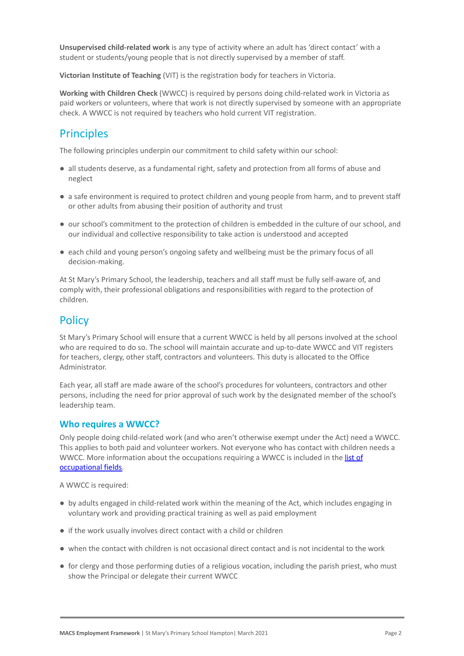**Unsupervised child-related work** is any type of activity where an adult has 'direct contact' with a student or students/young people that is not directly supervised by a member of staff.

**Victorian Institute of Teaching** (VIT) is the registration body for teachers in Victoria.

**Working with Children Check** (WWCC) is required by persons doing child-related work in Victoria as paid workers or volunteers, where that work is not directly supervised by someone with an appropriate check. A WWCC is not required by teachers who hold current VIT registration.

### **Principles**

The following principles underpin our commitment to child safety within our school:

- all students deserve, as a fundamental right, safety and protection from all forms of abuse and neglect
- a safe environment is required to protect children and young people from harm, and to prevent staff or other adults from abusing their position of authority and trust
- our school's commitment to the protection of children is embedded in the culture of our school, and our individual and collective responsibility to take action is understood and accepted
- each child and young person's ongoing safety and wellbeing must be the primary focus of all decision-making.

At St Mary's Primary School, the leadership, teachers and all staff must be fully self-aware of, and comply with, their professional obligations and responsibilities with regard to the protection of children.

### **Policy**

St Mary's Primary School will ensure that a current WWCC is held by all persons involved at the school who are required to do so. The school will maintain accurate and up-to-date WWCC and VIT registers for teachers, clergy, other staff, contractors and volunteers. This duty is allocated to the Office Administrator.

Each year, all staff are made aware of the school's procedures for volunteers, contractors and other persons, including the need for prior approval of such work by the designated member of the school's leadership team.

#### **Who requires a WWCC?**

Only people doing child-related work (and who aren't otherwise exempt under the Act) need a WWCC. This applies to both paid and volunteer workers. Not everyone who has contact with children needs a WWCC. More information about the occupations requiring a WWCC is included in the [list of](https://www.workingwithchildren.vic.gov.au/about-the-check/resources/list-of-occupational-fields) [occupational fields.](https://www.workingwithchildren.vic.gov.au/about-the-check/resources/list-of-occupational-fields)

A WWCC is required:

- by adults engaged in child-related work within the meaning of the Act, which includes engaging in voluntary work and providing practical training as well as paid employment
- if the work usually involves direct contact with a child or children
- when the contact with children is not occasional direct contact and is not incidental to the work
- for clergy and those performing duties of a religious vocation, including the parish priest, who must show the Principal or delegate their current WWCC